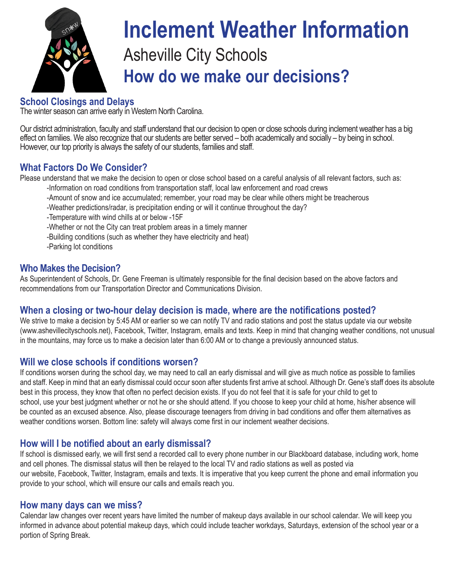

# Asheville City Schools **How do we make our decisions? Inclement Weather Information**

### **School Closings and Delays**

The winter season can arrive early in Western North Carolina.

Our district administration, faculty and staff understand that our decision to open or close schools during inclement weather has a big effect on families. We also recognize that our students are better served – both academically and socially – by being in school. However, our top priority is always the safety of our students, families and staff.

#### **What Factors Do We Consider?**

Please understand that we make the decision to open or close school based on a careful analysis of all relevant factors, such as:

- -Information on road conditions from transportation staff, local law enforcement and road crews
- -Amount of snow and ice accumulated; remember, your road may be clear while others might be treacherous
- -Weather predictions/radar, is precipitation ending or will it continue throughout the day?
- -Temperature with wind chills at or below -15F
- -Whether or not the City can treat problem areas in a timely manner
- -Building conditions (such as whether they have electricity and heat)
- -Parking lot conditions

#### **Who Makes the Decision?**

As Superintendent of Schools, Dr. Gene Freeman is ultimately responsible for the final decision based on the above factors and recommendations from our Transportation Director and Communications Division.

#### **When a closing or two-hour delay decision is made, where are the notifications posted?**

We strive to make a decision by 5:45 AM or earlier so we can notify TV and radio stations and post the status update via our website (www.ashevillecityschools.net), Facebook, Twitter, Instagram, emails and texts. Keep in mind that changing weather conditions, not unusual in the mountains, may force us to make a decision later than 6:00 AM or to change a previously announced status.

#### **Will we close schools if conditions worsen?**

If conditions worsen during the school day, we may need to call an early dismissal and will give as much notice as possible to families and staff. Keep in mind that an early dismissal could occur soon after students first arrive at school. Although Dr. Gene's staff does its absolute best in this process, they know that often no perfect decision exists. If you do not feel that it is safe for your child to get to school, use your best judgment whether or not he or she should attend. If you choose to keep your child at home, his/her absence will be counted as an excused absence. Also, please discourage teenagers from driving in bad conditions and offer them alternatives as weather conditions worsen. Bottom line: safety will always come first in our inclement weather decisions.

#### **How will I be notified about an early dismissal?**

If school is dismissed early, we will first send a recorded call to every phone number in our Blackboard database, including work, home and cell phones. The dismissal status will then be relayed to the local TV and radio stations as well as posted via our website, Facebook, Twitter, Instagram, emails and texts. It is imperative that you keep current the phone and email information you provide to your school, which will ensure our calls and emails reach you.

#### **How many days can we miss?**

Calendar law changes over recent years have limited the number of makeup days available in our school calendar. We will keep you informed in advance about potential makeup days, which could include teacher workdays, Saturdays, extension of the school year or a portion of Spring Break.